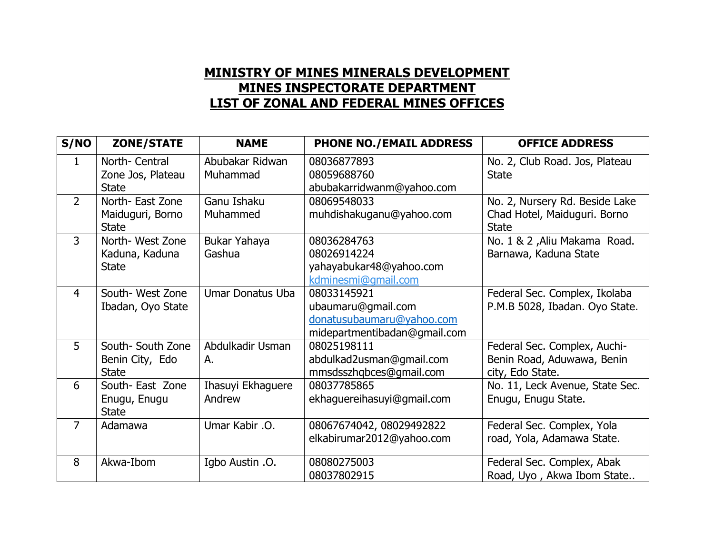## **MINISTRY OF MINES MINERALS DEVELOPMENT MINES INSPECTORATE DEPARTMENT LIST OF ZONAL AND FEDERAL MINES OFFICES**

| S/NO           | <b>ZONE/STATE</b>                                    | <b>NAME</b>                 | <b>PHONE NO./EMAIL ADDRESS</b>                                                                 | <b>OFFICE ADDRESS</b>                                                          |
|----------------|------------------------------------------------------|-----------------------------|------------------------------------------------------------------------------------------------|--------------------------------------------------------------------------------|
| 1              | North- Central<br>Zone Jos, Plateau<br><b>State</b>  | Abubakar Ridwan<br>Muhammad | 08036877893<br>08059688760<br>abubakarridwanm@yahoo.com                                        | No. 2, Club Road. Jos, Plateau<br><b>State</b>                                 |
| $\overline{2}$ | North- East Zone<br>Maiduguri, Borno<br><b>State</b> | Ganu Ishaku<br>Muhammed     | 08069548033<br>muhdishakuganu@yahoo.com                                                        | No. 2, Nursery Rd. Beside Lake<br>Chad Hotel, Maiduguri. Borno<br><b>State</b> |
| $\overline{3}$ | North-West Zone<br>Kaduna, Kaduna<br><b>State</b>    | Bukar Yahaya<br>Gashua      | 08036284763<br>08026914224<br>yahayabukar48@yahoo.com<br>kdminesmi@qmail.com                   | No. 1 & 2, Aliu Makama Road.<br>Barnawa, Kaduna State                          |
| $\overline{4}$ | South- West Zone<br>Ibadan, Oyo State                | Umar Donatus Uba            | 08033145921<br>ubaumaru@gmail.com<br>donatusubaumaru@yahoo.com<br>midepartmentibadan@gmail.com | Federal Sec. Complex, Ikolaba<br>P.M.B 5028, Ibadan. Oyo State.                |
| 5              | South- South Zone<br>Benin City, Edo<br><b>State</b> | Abdulkadir Usman<br>А.      | 08025198111<br>abdulkad2usman@gmail.com<br>mmsdsszhqbces@gmail.com                             | Federal Sec. Complex, Auchi-<br>Benin Road, Aduwawa, Benin<br>city, Edo State. |
| 6              | South-East Zone<br>Enugu, Enugu<br><b>State</b>      | Ihasuyi Ekhaguere<br>Andrew | 08037785865<br>ekhaguereihasuyi@gmail.com                                                      | No. 11, Leck Avenue, State Sec.<br>Enugu, Enugu State.                         |
| $\overline{7}$ | Adamawa                                              | Umar Kabir .O.              | 08067674042, 08029492822<br>elkabirumar2012@yahoo.com                                          | Federal Sec. Complex, Yola<br>road, Yola, Adamawa State.                       |
| 8              | Akwa-Ibom                                            | Igbo Austin .O.             | 08080275003<br>08037802915                                                                     | Federal Sec. Complex, Abak<br>Road, Uyo, Akwa Ibom State                       |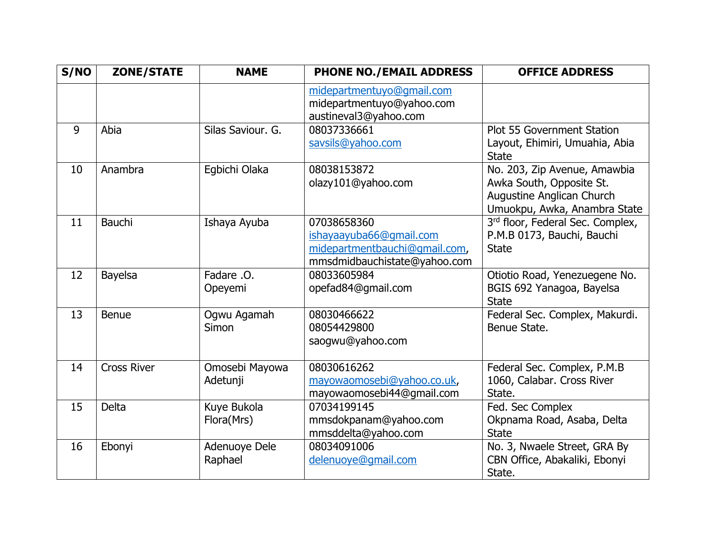| S/NO | <b>ZONE/STATE</b>  | <b>NAME</b>                | <b>PHONE NO./EMAIL ADDRESS</b>                                                                          | <b>OFFICE ADDRESS</b>                                                                                                        |
|------|--------------------|----------------------------|---------------------------------------------------------------------------------------------------------|------------------------------------------------------------------------------------------------------------------------------|
|      |                    |                            | midepartmentuyo@gmail.com<br>midepartmentuyo@yahoo.com<br>austineval3@yahoo.com                         |                                                                                                                              |
| 9    | Abia               | Silas Saviour, G.          | 08037336661<br>savsils@yahoo.com                                                                        | <b>Plot 55 Government Station</b><br>Layout, Ehimiri, Umuahia, Abia<br><b>State</b>                                          |
| 10   | Anambra            | Egbichi Olaka              | 08038153872<br>olazy101@yahoo.com                                                                       | No. 203, Zip Avenue, Amawbia<br>Awka South, Opposite St.<br><b>Augustine Anglican Church</b><br>Umuokpu, Awka, Anambra State |
| 11   | <b>Bauchi</b>      | Ishaya Ayuba               | 07038658360<br>ishayaayuba66@qmail.com<br>midepartmentbauchi@gmail.com,<br>mmsdmidbauchistate@yahoo.com | 3rd floor, Federal Sec. Complex,<br>P.M.B 0173, Bauchi, Bauchi<br><b>State</b>                                               |
| 12   | <b>Bayelsa</b>     | Fadare .O.<br>Opeyemi      | 08033605984<br>opefad84@gmail.com                                                                       | Otiotio Road, Yenezuegene No.<br>BGIS 692 Yanagoa, Bayelsa<br><b>State</b>                                                   |
| 13   | <b>Benue</b>       | Ogwu Agamah<br>Simon       | 08030466622<br>08054429800<br>saogwu@yahoo.com                                                          | Federal Sec. Complex, Makurdi.<br>Benue State.                                                                               |
| 14   | <b>Cross River</b> | Omosebi Mayowa<br>Adetunji | 08030616262<br>mayowaomosebi@yahoo.co.uk,<br>mayowaomosebi44@gmail.com                                  | Federal Sec. Complex, P.M.B<br>1060, Calabar. Cross River<br>State.                                                          |
| 15   | <b>Delta</b>       | Kuye Bukola<br>Flora(Mrs)  | 07034199145<br>mmsdokpanam@yahoo.com<br>mmsddelta@yahoo.com                                             | Fed. Sec Complex<br>Okpnama Road, Asaba, Delta<br><b>State</b>                                                               |
| 16   | Ebonyi             | Adenuoye Dele<br>Raphael   | 08034091006<br>delenuoye@qmail.com                                                                      | No. 3, Nwaele Street, GRA By<br>CBN Office, Abakaliki, Ebonyi<br>State.                                                      |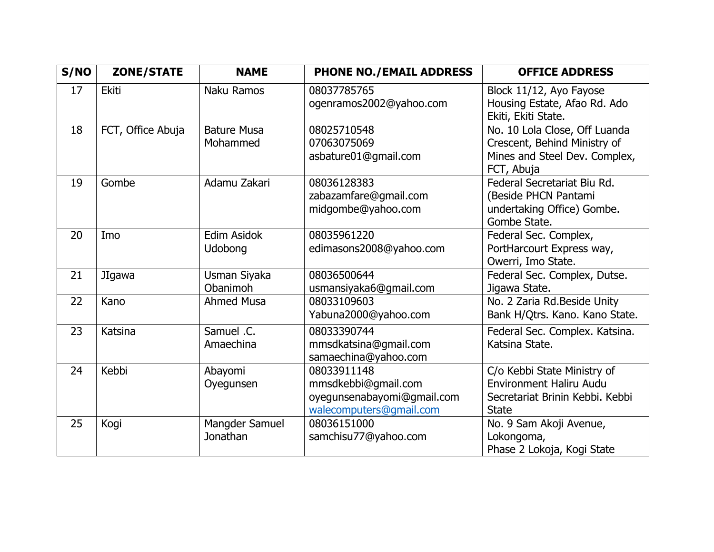| S/NO | <b>ZONE/STATE</b> | <b>NAME</b>                    | <b>PHONE NO./EMAIL ADDRESS</b>                                                              | <b>OFFICE ADDRESS</b>                                                                                            |
|------|-------------------|--------------------------------|---------------------------------------------------------------------------------------------|------------------------------------------------------------------------------------------------------------------|
| 17   | <b>Ekiti</b>      | Naku Ramos                     | 08037785765<br>ogenramos2002@yahoo.com                                                      | Block 11/12, Ayo Fayose<br>Housing Estate, Afao Rd. Ado<br>Ekiti, Ekiti State.                                   |
| 18   | FCT, Office Abuja | <b>Bature Musa</b><br>Mohammed | 08025710548<br>07063075069<br>asbature01@gmail.com                                          | No. 10 Lola Close, Off Luanda<br>Crescent, Behind Ministry of<br>Mines and Steel Dev. Complex,<br>FCT, Abuja     |
| 19   | Gombe             | Adamu Zakari                   | 08036128383<br>zabazamfare@gmail.com<br>midgombe@yahoo.com                                  | Federal Secretariat Biu Rd.<br>(Beside PHCN Pantami<br>undertaking Office) Gombe.<br>Gombe State.                |
| 20   | Imo               | Edim Asidok<br>Udobong         | 08035961220<br>edimasons2008@yahoo.com                                                      | Federal Sec. Complex,<br>PortHarcourt Express way,<br>Owerri, Imo State.                                         |
| 21   | <b>JIgawa</b>     | Usman Siyaka<br>Obanimoh       | 08036500644<br>usmansiyaka6@gmail.com                                                       | Federal Sec. Complex, Dutse.<br>Jigawa State.                                                                    |
| 22   | Kano              | <b>Ahmed Musa</b>              | 08033109603<br>Yabuna2000@yahoo.com                                                         | No. 2 Zaria Rd.Beside Unity<br>Bank H/Qtrs. Kano. Kano State.                                                    |
| 23   | Katsina           | Samuel .C.<br>Amaechina        | 08033390744<br>mmsdkatsina@gmail.com<br>samaechina@yahoo.com                                | Federal Sec. Complex. Katsina.<br>Katsina State.                                                                 |
| 24   | Kebbi             | Abayomi<br>Oyegunsen           | 08033911148<br>mmsdkebbi@gmail.com<br>oyegunsenabayomi@gmail.com<br>walecomputers@gmail.com | C/o Kebbi State Ministry of<br><b>Environment Haliru Audu</b><br>Secretariat Brinin Kebbi. Kebbi<br><b>State</b> |
| 25   | Kogi              | Mangder Samuel<br>Jonathan     | 08036151000<br>samchisu77@yahoo.com                                                         | No. 9 Sam Akoji Avenue,<br>Lokongoma,<br>Phase 2 Lokoja, Kogi State                                              |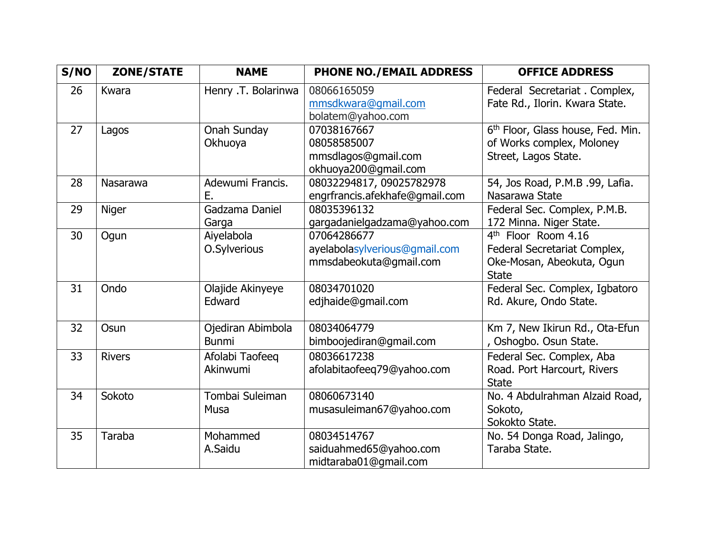| S/NO | <b>ZONE/STATE</b> | <b>NAME</b>                       | <b>PHONE NO./EMAIL ADDRESS</b>                                            | <b>OFFICE ADDRESS</b>                                                                                        |
|------|-------------------|-----------------------------------|---------------------------------------------------------------------------|--------------------------------------------------------------------------------------------------------------|
| 26   | Kwara             | Henry .T. Bolarinwa               | 08066165059<br>mmsdkwara@gmail.com<br>bolatem@yahoo.com                   | Federal Secretariat . Complex,<br>Fate Rd., Ilorin. Kwara State.                                             |
| 27   | Lagos             | Onah Sunday<br>Okhuoya            | 07038167667<br>08058585007<br>mmsdlagos@gmail.com<br>okhuoya200@gmail.com | 6 <sup>th</sup> Floor, Glass house, Fed. Min.<br>of Works complex, Moloney<br>Street, Lagos State.           |
| 28   | Nasarawa          | Adewumi Francis.<br>Ε.            | 08032294817, 09025782978<br>engrfrancis.afekhafe@gmail.com                | 54, Jos Road, P.M.B .99, Lafia.<br>Nasarawa State                                                            |
| 29   | Niger             | Gadzama Daniel<br>Garga           | 08035396132<br>gargadanielgadzama@yahoo.com                               | Federal Sec. Complex, P.M.B.<br>172 Minna. Niger State.                                                      |
| 30   | Ogun              | Aiyelabola<br>O.Sylverious        | 07064286677<br>ayelabolasylverious@gmail.com<br>mmsdabeokuta@gmail.com    | 4 <sup>th</sup> Floor Room 4.16<br>Federal Secretariat Complex,<br>Oke-Mosan, Abeokuta, Ogun<br><b>State</b> |
| 31   | Ondo              | Olajide Akinyeye<br>Edward        | 08034701020<br>edjhaide@gmail.com                                         | Federal Sec. Complex, Igbatoro<br>Rd. Akure, Ondo State.                                                     |
| 32   | Osun              | Ojediran Abimbola<br><b>Bunmi</b> | 08034064779<br>bimboojediran@gmail.com                                    | Km 7, New Ikirun Rd., Ota-Efun<br>, Oshogbo. Osun State.                                                     |
| 33   | <b>Rivers</b>     | Afolabi Taofeeq<br>Akinwumi       | 08036617238<br>afolabitaofeeq79@yahoo.com                                 | Federal Sec. Complex, Aba<br>Road. Port Harcourt, Rivers<br><b>State</b>                                     |
| 34   | Sokoto            | Tombai Suleiman<br><b>Musa</b>    | 08060673140<br>musasuleiman67@yahoo.com                                   | No. 4 Abdulrahman Alzaid Road,<br>Sokoto,<br>Sokokto State.                                                  |
| 35   | Taraba            | Mohammed<br>A.Saidu               | 08034514767<br>saiduahmed65@yahoo.com<br>midtaraba01@gmail.com            | No. 54 Donga Road, Jalingo,<br>Taraba State.                                                                 |